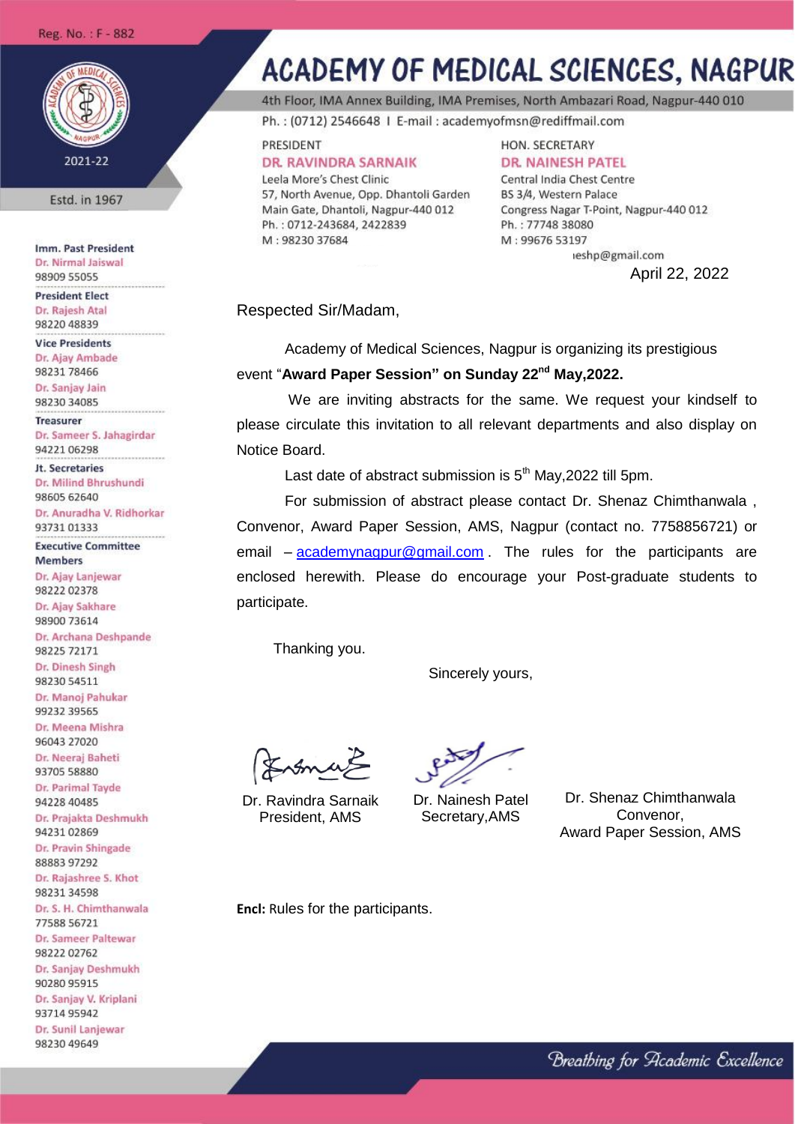## Reg. No.: F - 882



Estd. in 1967

Imm. Past President Dr. Nirmal Jaiswal 98909 55055

**President Elect** Dr. Rajesh Atal 98220 48839

**Vice Presidents** Dr. Ajay Ambade 98231 78466

Dr. Sanjay Jain 98230 34085

**Treasurer** Dr. Sameer S. Jahagirdar 94221 06298

**Jt. Secretaries** Dr. Milind Bhrushundi 98605 62640

Dr. Anuradha V. Ridhorkar 93731 01333

**Executive Committee Members** 

Dr. Ajay Lanjewar 9822202378 Dr. Ajay Sakhare 98900 73614 Dr. Archana Deshpande

98225 72171 Dr. Dinesh Singh 98230 54511 Dr. Manoj Pahukar

99232 39565 Dr. Meena Mishra

96043 27020 Dr. Neerai Baheti

93705 58880 Dr. Parimal Tayde

94228 40485 Dr. Prajakta Deshmukh

9423102869 Dr. Pravin Shingade 88883 97292

Dr. Rajashree S. Khot 9823134598

Dr. S. H. Chimthanwala 77588 56721 Dr. Sameer Paltewar 9822202762

Dr. Sanjay Deshmukh 90280 95915 Dr. Sanjay V. Kriplani

9371495942 Dr. Sunil Lanjewar

98230 49649

## **ACADEMY OF MEDICAL SCIENCES, NAGPUR**

4th Floor, IMA Annex Building, IMA Premises, North Ambazari Road, Nagpur-440 010

Ph.: (0712) 2546648 | E-mail: academyofmsn@rediffmail.com

PRESIDENT **DR. RAVINDRA SARNAIK** 

Leela More's Chest Clinic 57, North Avenue, Opp. Dhantoli Garden Main Gate, Dhantoli, Nagpur-440 012 Ph.: 0712-243684, 2422839 M: 98230 37684

HON. SECRETARY **DR. NAINESH PATEL** 

Central India Chest Centre BS 3/4, Western Palace Congress Nagar T-Point, Nagpur-440 012 Ph.: 77748 38080 M: 99676 53197

> ieshp@gmail.com April 22, 2022

Respected Sir/Madam,

Academy of Medical Sciences, Nagpur is organizing its prestigious event "**Award Paper Session" on Sunday 22nd May,2022.**

We are inviting abstracts for the same. We request your kindself to please circulate this invitation to all relevant departments and also display on Notice Board.

Last date of abstract submission is  $5<sup>th</sup>$  May, 2022 till 5pm.

For submission of abstract please contact Dr. Shenaz Chimthanwala , Convenor, Award Paper Session, AMS, Nagpur (contact no. 7758856721) or email – [academynagpur@gmail.com](mailto:academynagpur@gmail.com) . The rules for the participants are enclosed herewith. Please do encourage your Post-graduate students to participate.

Thanking you.

Sincerely yours,

Lomes

Dr. Ravindra Sarnaik President, AMS

Dr. Nainesh Patel Secretary,AMS

Dr. Shenaz Chimthanwala Convenor, Award Paper Session, AMS

**Encl:** Rules for the participants.